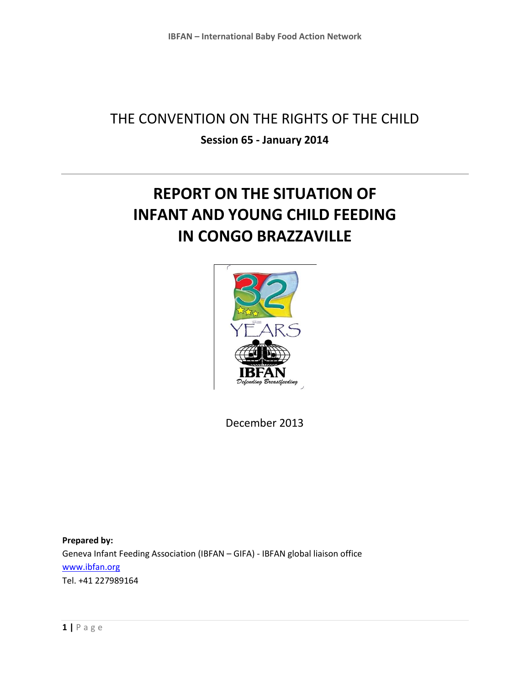## THE CONVENTION ON THE RIGHTS OF THE CHILD **Session 65 - January 2014**

# **REPORT ON THE SITUATION OF INFANT AND YOUNG CHILD FEEDING IN CONGO BRAZZAVILLE**



December 2013

**Prepared by:**  Geneva Infant Feeding Association (IBFAN – GIFA) - IBFAN global liaison office [www.ibfan.org](http://www.ibfan.org/) Tel. +41 227989164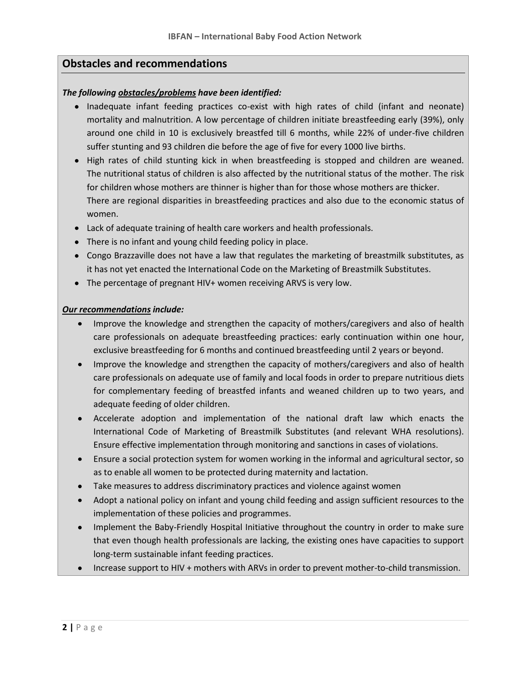### **Obstacles and recommendations**

#### *The following obstacles/problems have been identified:*

- Inadequate infant feeding practices co-exist with high rates of child (infant and neonate) mortality and malnutrition. A low percentage of children initiate breastfeeding early (39%), only around one child in 10 is exclusively breastfed till 6 months, while 22% of under-five children suffer stunting and 93 children die before the age of five for every 1000 live births.
- High rates of child stunting kick in when breastfeeding is stopped and children are weaned. The nutritional status of children is also affected by the nutritional status of the mother. The risk for children whose mothers are thinner is higher than for those whose mothers are thicker. There are regional disparities in breastfeeding practices and also due to the economic status of women.
- Lack of adequate training of health care workers and health professionals.
- There is no infant and young child feeding policy in place.
- Congo Brazzaville does not have a law that regulates the marketing of breastmilk substitutes, as it has not yet enacted the International Code on the Marketing of Breastmilk Substitutes.
- The percentage of pregnant HIV+ women receiving ARVS is very low.

#### *Our recommendations include:*

- Improve the knowledge and strengthen the capacity of mothers/caregivers and also of health care professionals on adequate breastfeeding practices: early continuation within one hour, exclusive breastfeeding for 6 months and continued breastfeeding until 2 years or beyond.
- Improve the knowledge and strengthen the capacity of mothers/caregivers and also of health care professionals on adequate use of family and local foods in order to prepare nutritious diets for complementary feeding of breastfed infants and weaned children up to two years, and adequate feeding of older children.
- Accelerate adoption and implementation of the national draft law which enacts the International Code of Marketing of Breastmilk Substitutes (and relevant WHA resolutions). Ensure effective implementation through monitoring and sanctions in cases of violations.
- Ensure a social protection system for women working in the informal and agricultural sector, so as to enable all women to be protected during maternity and lactation.
- Take measures to address discriminatory practices and violence against women
- Adopt a national policy on infant and young child feeding and assign sufficient resources to the implementation of these policies and programmes.
- Implement the Baby-Friendly Hospital Initiative throughout the country in order to make sure that even though health professionals are lacking, the existing ones have capacities to support long-term sustainable infant feeding practices.
- Increase support to HIV + mothers with ARVs in order to prevent mother-to-child transmission.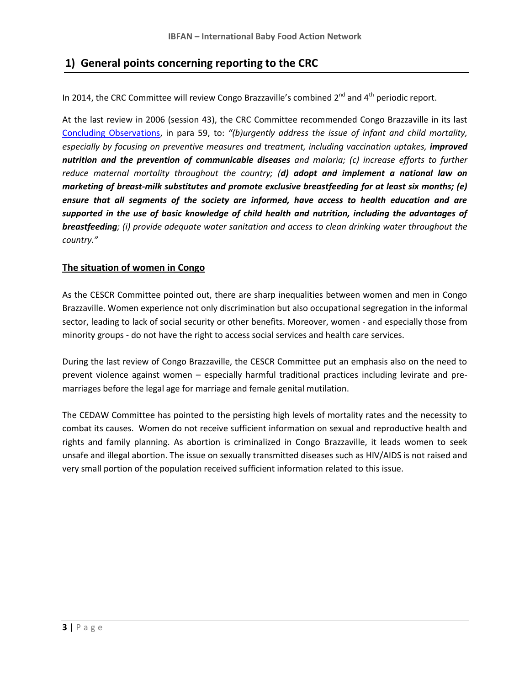## **1) General points concerning reporting to the CRC**

In 2014, the CRC Committee will review Congo Brazzaville's combined  $2^{nd}$  and  $4^{th}$  periodic report.

At the last review in 2006 (session 43), the CRC Committee recommended Congo Brazzaville in its last [Concluding Observations,](http://daccess-ods.un.org/access.nsf/Get?Open&DS=CRC/C/COG/CO/1&Lang=E) in para 59, to: *"(b)urgently address the issue of infant and child mortality, especially by focusing on preventive measures and treatment, including vaccination uptakes, <i>improved nutrition and the prevention of communicable diseases and malaria; (c) increase efforts to further reduce maternal mortality throughout the country; (d) adopt and implement a national law on marketing of breast-milk substitutes and promote exclusive breastfeeding for at least six months; (e) ensure that all segments of the society are informed, have access to health education and are supported in the use of basic knowledge of child health and nutrition, including the advantages of breastfeeding; (i) provide adequate water sanitation and access to clean drinking water throughout the country."*

#### **The situation of women in Congo**

As the CESCR Committee pointed out, there are sharp inequalities between women and men in Congo Brazzaville. Women experience not only discrimination but also occupational segregation in the informal sector, leading to lack of social security or other benefits. Moreover, women - and especially those from minority groups - do not have the right to access social services and health care services.

During the last review of Congo Brazzaville, the CESCR Committee put an emphasis also on the need to prevent violence against women – especially harmful traditional practices including levirate and premarriages before the legal age for marriage and female genital mutilation.

The CEDAW Committee has pointed to the persisting high levels of mortality rates and the necessity to combat its causes. Women do not receive sufficient information on sexual and reproductive health and rights and family planning. As abortion is criminalized in Congo Brazzaville, it leads women to seek unsafe and illegal abortion. The issue on sexually transmitted diseases such as HIV/AIDS is not raised and very small portion of the population received sufficient information related to this issue.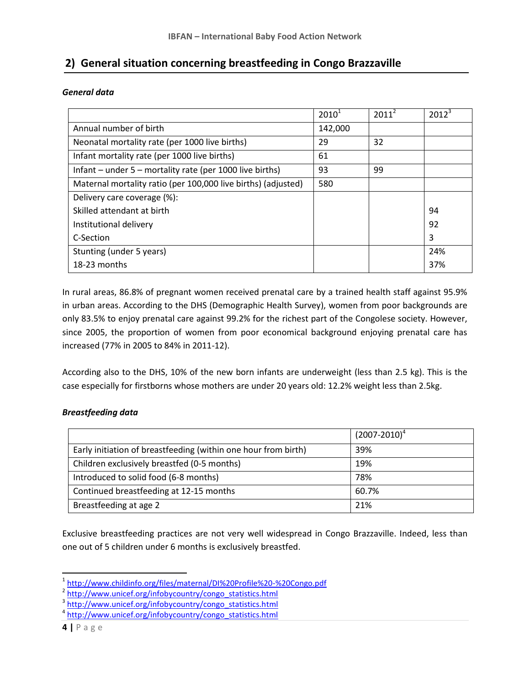## **2) General situation concerning breastfeeding in Congo Brazzaville**

#### *General data*

|                                                               | $2010^1$ | $2011^2$ | $2012^3$ |
|---------------------------------------------------------------|----------|----------|----------|
| Annual number of birth                                        | 142,000  |          |          |
| Neonatal mortality rate (per 1000 live births)                | 29       | 32       |          |
| Infant mortality rate (per 1000 live births)                  | 61       |          |          |
| Infant – under $5$ – mortality rate (per 1000 live births)    | 93       | 99       |          |
| Maternal mortality ratio (per 100,000 live births) (adjusted) | 580      |          |          |
| Delivery care coverage (%):                                   |          |          |          |
| Skilled attendant at birth                                    |          |          | 94       |
| Institutional delivery                                        |          |          | 92       |
| C-Section                                                     |          |          | 3        |
| Stunting (under 5 years)                                      |          |          | 24%      |
| 18-23 months                                                  |          |          | 37%      |

In rural areas, 86.8% of pregnant women received prenatal care by a trained health staff against 95.9% in urban areas. According to the DHS (Demographic Health Survey), women from poor backgrounds are only 83.5% to enjoy prenatal care against 99.2% for the richest part of the Congolese society. However, since 2005, the proportion of women from poor economical background enjoying prenatal care has increased (77% in 2005 to 84% in 2011-12).

According also to the DHS, 10% of the new born infants are underweight (less than 2.5 kg). This is the case especially for firstborns whose mothers are under 20 years old: 12.2% weight less than 2.5kg.

#### *Breastfeeding data*

|                                                                | $(2007 - 2010)^4$ |
|----------------------------------------------------------------|-------------------|
| Early initiation of breastfeeding (within one hour from birth) | 39%               |
| Children exclusively breastfed (0-5 months)                    | 19%               |
| Introduced to solid food (6-8 months)                          | 78%               |
| Continued breastfeeding at 12-15 months                        | 60.7%             |
| Breastfeeding at age 2                                         | 21%               |

Exclusive breastfeeding practices are not very well widespread in Congo Brazzaville. Indeed, less than one out of 5 children under 6 months is exclusively breastfed.

 $\overline{\phantom{a}}$ 

<sup>&</sup>lt;sup>1</sup> <http://www.childinfo.org/files/maternal/DI%20Profile%20-%20Congo.pdf>

<sup>&</sup>lt;sup>2</sup> [http://www.unicef.org/infobycountry/congo\\_statistics.html](http://www.unicef.org/infobycountry/congo_statistics.html)

<sup>&</sup>lt;sup>3</sup> [http://www.unicef.org/infobycountry/congo\\_statistics.html](http://www.unicef.org/infobycountry/congo_statistics.html)

<sup>&</sup>lt;sup>4</sup> [http://www.unicef.org/infobycountry/congo\\_statistics.html](http://www.unicef.org/infobycountry/congo_statistics.html)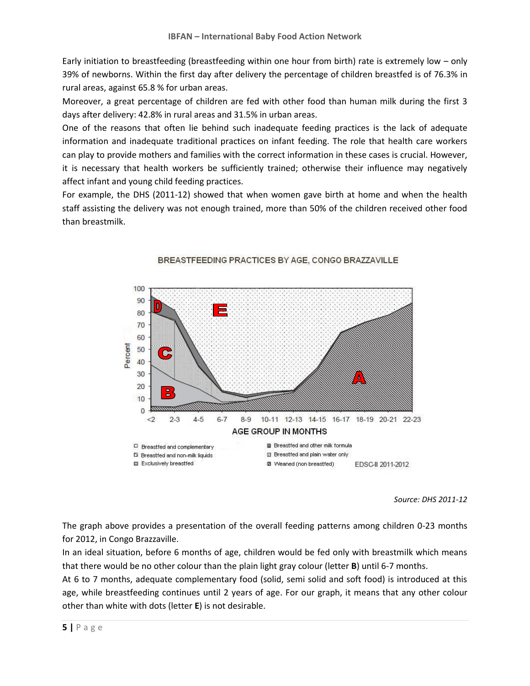Early initiation to breastfeeding (breastfeeding within one hour from birth) rate is extremely low – only 39% of newborns. Within the first day after delivery the percentage of children breastfed is of 76.3% in rural areas, against 65.8 % for urban areas.

Moreover, a great percentage of children are fed with other food than human milk during the first 3 days after delivery: 42.8% in rural areas and 31.5% in urban areas.

One of the reasons that often lie behind such inadequate feeding practices is the lack of adequate information and inadequate traditional practices on infant feeding. The role that health care workers can play to provide mothers and families with the correct information in these cases is crucial. However, it is necessary that health workers be sufficiently trained; otherwise their influence may negatively affect infant and young child feeding practices.

For example, the DHS (2011-12) showed that when women gave birth at home and when the health staff assisting the delivery was not enough trained, more than 50% of the children received other food than breastmilk.



#### BREASTFEEDING PRACTICES BY AGE, CONGO BRAZZAVILLE

*Source: DHS 2011-12*

The graph above provides a presentation of the overall feeding patterns among children 0-23 months for 2012, in Congo Brazzaville.

In an ideal situation, before 6 months of age, children would be fed only with breastmilk which means that there would be no other colour than the plain light gray colour (letter **B**) until 6-7 months.

At 6 to 7 months, adequate complementary food (solid, semi solid and soft food) is introduced at this age, while breastfeeding continues until 2 years of age. For our graph, it means that any other colour other than white with dots (letter **E**) is not desirable.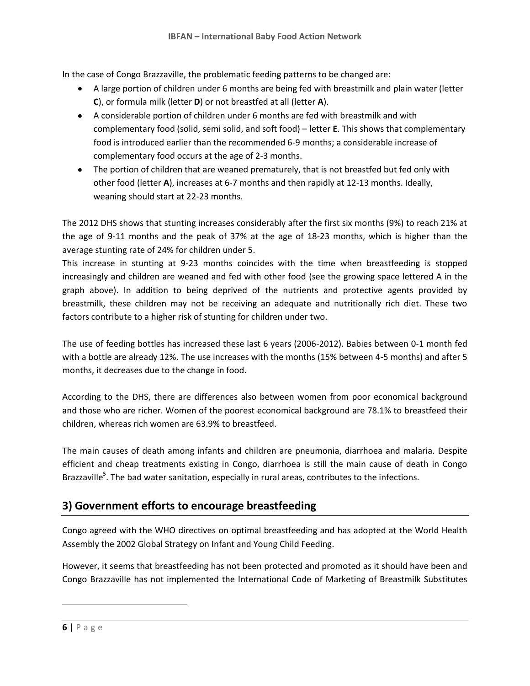In the case of Congo Brazzaville, the problematic feeding patterns to be changed are:

- A large portion of children under 6 months are being fed with breastmilk and plain water (letter **C**), or formula milk (letter **D**) or not breastfed at all (letter **A**).
- A considerable portion of children under 6 months are fed with breastmilk and with complementary food (solid, semi solid, and soft food) – letter **E**. This shows that complementary food is introduced earlier than the recommended 6-9 months; a considerable increase of complementary food occurs at the age of 2-3 months.
- The portion of children that are weaned prematurely, that is not breastfed but fed only with other food (letter **A**), increases at 6-7 months and then rapidly at 12-13 months. Ideally, weaning should start at 22-23 months.

The 2012 DHS shows that stunting increases considerably after the first six months (9%) to reach 21% at the age of 9-11 months and the peak of 37% at the age of 18-23 months, which is higher than the average stunting rate of 24% for children under 5.

This increase in stunting at 9-23 months coincides with the time when breastfeeding is stopped increasingly and children are weaned and fed with other food (see the growing space lettered A in the graph above). In addition to being deprived of the nutrients and protective agents provided by breastmilk, these children may not be receiving an adequate and nutritionally rich diet. These two factors contribute to a higher risk of stunting for children under two.

The use of feeding bottles has increased these last 6 years (2006-2012). Babies between 0-1 month fed with a bottle are already 12%. The use increases with the months (15% between 4-5 months) and after 5 months, it decreases due to the change in food.

According to the DHS, there are differences also between women from poor economical background and those who are richer. Women of the poorest economical background are 78.1% to breastfeed their children, whereas rich women are 63.9% to breastfeed.

The main causes of death among infants and children are pneumonia, diarrhoea and malaria. Despite efficient and cheap treatments existing in Congo, diarrhoea is still the main cause of death in Congo Brazzaville<sup>5</sup>. The bad water sanitation, especially in rural areas, contributes to the infections.

## **3) Government efforts to encourage breastfeeding**

Congo agreed with the WHO directives on optimal breastfeeding and has adopted at the World Health Assembly the 2002 Global Strategy on Infant and Young Child Feeding.

However, it seems that breastfeeding has not been protected and promoted as it should have been and Congo Brazzaville has not implemented the International Code of Marketing of Breastmilk Substitutes

 $\overline{\phantom{a}}$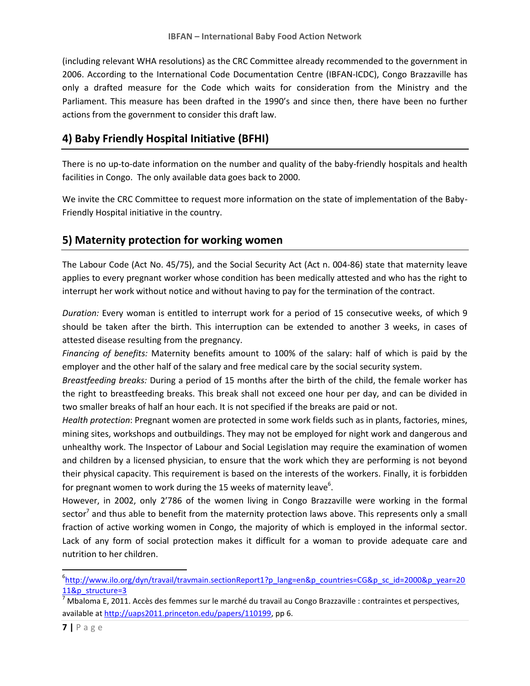(including relevant WHA resolutions) as the CRC Committee already recommended to the government in 2006. According to the International Code Documentation Centre (IBFAN-ICDC), Congo Brazzaville has only a drafted measure for the Code which waits for consideration from the Ministry and the Parliament. This measure has been drafted in the 1990's and since then, there have been no further actions from the government to consider this draft law.

## **4) Baby Friendly Hospital Initiative (BFHI)**

There is no up-to-date information on the number and quality of the baby-friendly hospitals and health facilities in Congo. The only available data goes back to 2000.

We invite the CRC Committee to request more information on the state of implementation of the Baby-Friendly Hospital initiative in the country.

## **5) Maternity protection for working women**

The Labour Code (Act No. 45/75), and the Social Security Act (Act n. 004-86) state that maternity leave applies to every pregnant worker whose condition has been medically attested and who has the right to interrupt her work without notice and without having to pay for the termination of the contract.

*Duration:* Every woman is entitled to interrupt work for a period of 15 consecutive weeks, of which 9 should be taken after the birth. This interruption can be extended to another 3 weeks, in cases of attested disease resulting from the pregnancy.

*Financing of benefits:* Maternity benefits amount to 100% of the salary: half of which is paid by the employer and the other half of the salary and free medical care by the social security system.

*Breastfeeding breaks:* During a period of 15 months after the birth of the child, the female worker has the right to breastfeeding breaks. This break shall not exceed one hour per day, and can be divided in two smaller breaks of half an hour each. It is not specified if the breaks are paid or not.

*Health protection*: Pregnant women are protected in some work fields such as in plants, factories, mines, mining sites, workshops and outbuildings. They may not be employed for night work and dangerous and unhealthy work. The Inspector of Labour and Social Legislation may require the examination of women and children by a licensed physician, to ensure that the work which they are performing is not beyond their physical capacity. This requirement is based on the interests of the workers. Finally, it is forbidden for pregnant women to work during the 15 weeks of maternity leave $^6$ .

However, in 2002, only 2'786 of the women living in Congo Brazzaville were working in the formal sector<sup>7</sup> and thus able to benefit from the maternity protection laws above. This represents only a small fraction of active working women in Congo, the majority of which is employed in the informal sector. Lack of any form of social protection makes it difficult for a woman to provide adequate care and nutrition to her children.

l

<sup>6</sup> [http://www.ilo.org/dyn/travail/travmain.sectionReport1?p\\_lang=en&p\\_countries=CG&p\\_sc\\_id=2000&p\\_year=20](http://www.ilo.org/dyn/travail/travmain.sectionReport1?p_lang=en&p_countries=CG&p_sc_id=2000&p_year=2011&p_structure=3) [11&p\\_structure=3](http://www.ilo.org/dyn/travail/travmain.sectionReport1?p_lang=en&p_countries=CG&p_sc_id=2000&p_year=2011&p_structure=3)

 $^7$ Mbaloma E, 2011. Accès des femmes sur le marché du travail au Congo Brazzaville : contraintes et perspectives, available a[t http://uaps2011.princeton.edu/papers/110199,](http://uaps2011.princeton.edu/papers/110199) pp 6.